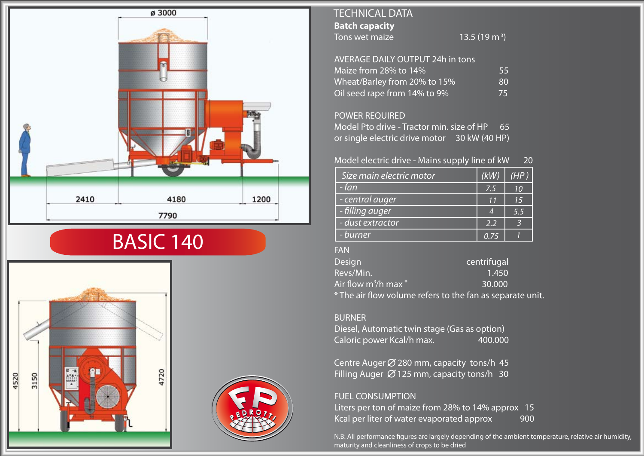

# BASIC 140





# **Batch capacity** Tons wet maize TECHNICAL DATA

13.5 (19 m<sup>3</sup>)

| <b>AVERAGE DAILY OUTPUT 24h in tons</b> |     |
|-----------------------------------------|-----|
| Maize from 28% to 14%                   | 55  |
| Wheat/Barley from 20% to 15%            | 80  |
| Oil seed rape from 14% to 9%            | 75. |

## POWER REQUIRED

Model Pto drive - Tractor min. size of HP 65 or single electric drive motor 30 kW (40 HP)

## Model electric drive - Mains supply line of kW 20

| Size main electric motor | (kW) | (HP) |
|--------------------------|------|------|
| - fan                    | 7.5  | 10   |
| - central auger          | 11   | 15   |
| - filling auger          |      | 5.5  |
| - dust extractor         | 2.2  |      |
| - burner                 | በ 75 |      |

#### FAN

| <b>Design</b>                       | centrifugal                                               |
|-------------------------------------|-----------------------------------------------------------|
| Revs/Min.                           | 1.450                                                     |
| Air flow m <sup>3</sup> /h max $^*$ | 30.000                                                    |
|                                     | * The air flow volume refers to the fan as separate unit. |

#### BURNER

Diesel, Automatic twin stage (Gas as option) Caloric power Kcal/h max. 400.000

Centre Auger  $\emptyset$  280 mm, capacity tons/h 45 Filling Auger  $\varnothing$  125 mm, capacity tons/h 30

## FUEL CONSUMPTION

Liters per ton of maize from 28% to 14% approx 15 Kcal per liter of water evaporated approx 900

N.B: All performance figures are largely depending of the ambient temperature, relative air humidity, maturity and cleanliness of crops to be dried